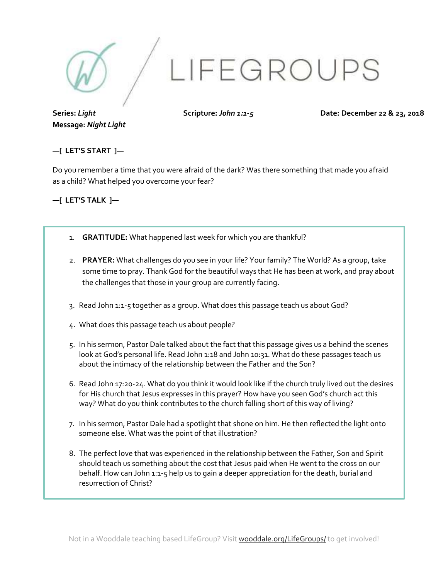

**Series:** *Light*  **Message:** *Night Light*  **Scripture:** *John 1:1-5*

**Date: December 22 & 23, 2018** 

## **—[ LET'S START ]—**

Do you remember a time that you were afraid of the dark? Was there something that made you afraid as a child? What helped you overcome your fear?

#### **—[ LET'S TALK ]—**

- 1. **GRATITUDE:** What happened last week for which you are thankful?
- 2. **PRAYER:** What challenges do you see in your life? Your family? The World? As a group, take some time to pray. Thank God for the beautiful ways that He has been at work, and pray about the challenges that those in your group are currently facing.
- 3. Read John 1:1-5 together as a group. What does this passage teach us about God?
- 4. What does this passage teach us about people?
- 5. In his sermon, Pastor Dale talked about the fact that this passage gives us a behind the scenes look at God's personal life. Read John 1:18 and John 10:31. What do these passages teach us about the intimacy of the relationship between the Father and the Son?
- 6. Read John 17:20-24. What do you think it would look like if the church truly lived out the desires for His church that Jesus expresses in this prayer? How have you seen God's church act this way? What do you think contributes to the church falling short of this way of living?
- 7. In his sermon, Pastor Dale had a spotlight that shone on him. He then reflected the light onto someone else. What was the point of that illustration?
- 8. The perfect love that was experienced in the relationship between the Father, Son and Spirit should teach us something about the cost that Jesus paid when He went to the cross on our behalf. How can John 1:1-5 help us to gain a deeper appreciation for the death, burial and resurrection of Christ?